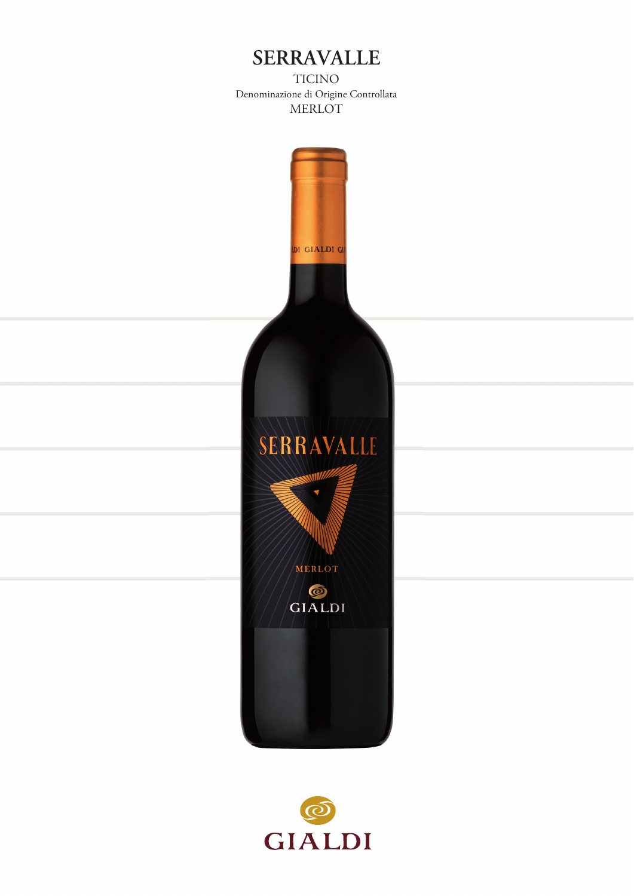## **SERRAVALLE**

TICINO Denominazione di Origine Controllata MERLOT